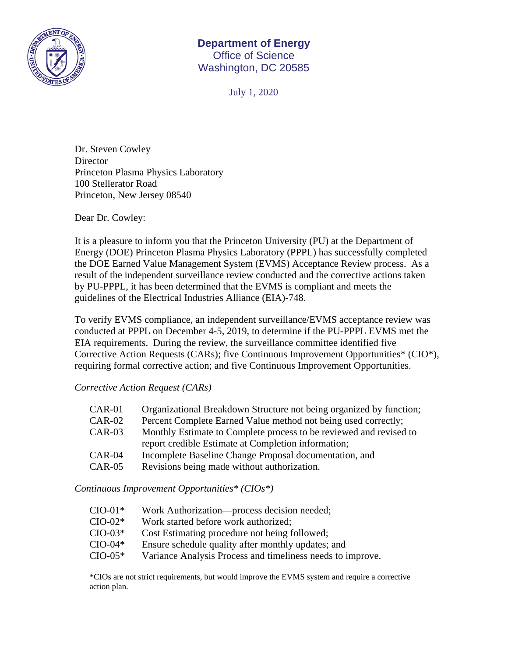

## **Department of Energy**  Office of Science Washington, DC 20585

July 1, 2020

Dr. Steven Cowley **Director** Princeton Plasma Physics Laboratory 100 Stellerator Road Princeton, New Jersey 08540

Dear Dr. Cowley:

It is a pleasure to inform you that the Princeton University (PU) at the Department of Energy (DOE) Princeton Plasma Physics Laboratory (PPPL) has successfully completed the DOE Earned Value Management System (EVMS) Acceptance Review process. As a result of the independent surveillance review conducted and the corrective actions taken by PU-PPPL, it has been determined that the EVMS is compliant and meets the guidelines of the Electrical Industries Alliance (EIA)-748.

To verify EVMS compliance, an independent surveillance/EVMS acceptance review was conducted at PPPL on December 4-5, 2019, to determine if the PU-PPPL EVMS met the EIA requirements. During the review, the surveillance committee identified five Corrective Action Requests (CARs); five Continuous Improvement Opportunities\* (CIO\*), requiring formal corrective action; and five Continuous Improvement Opportunities.

*Corrective Action Request (CARs)* 

| Organizational Breakdown Structure not being organized by function; |
|---------------------------------------------------------------------|
| Percent Complete Earned Value method not being used correctly;      |
| Monthly Estimate to Complete process to be reviewed and revised to  |
| report credible Estimate at Completion information;                 |
| Incomplete Baseline Change Proposal documentation, and              |
| Revisions being made without authorization.                         |
|                                                                     |

*Continuous Improvement Opportunities\* (CIOs\*)* 

- CIO-01\* Work Authorization—process decision needed;
- CIO-02\* Work started before work authorized;
- CIO-03\* Cost Estimating procedure not being followed;
- CIO-04\* Ensure schedule quality after monthly updates; and
- CIO-05\* Variance Analysis Process and timeliness needs to improve.

\*CIOs are not strict requirements, but would improve the EVMS system and require a corrective action plan.